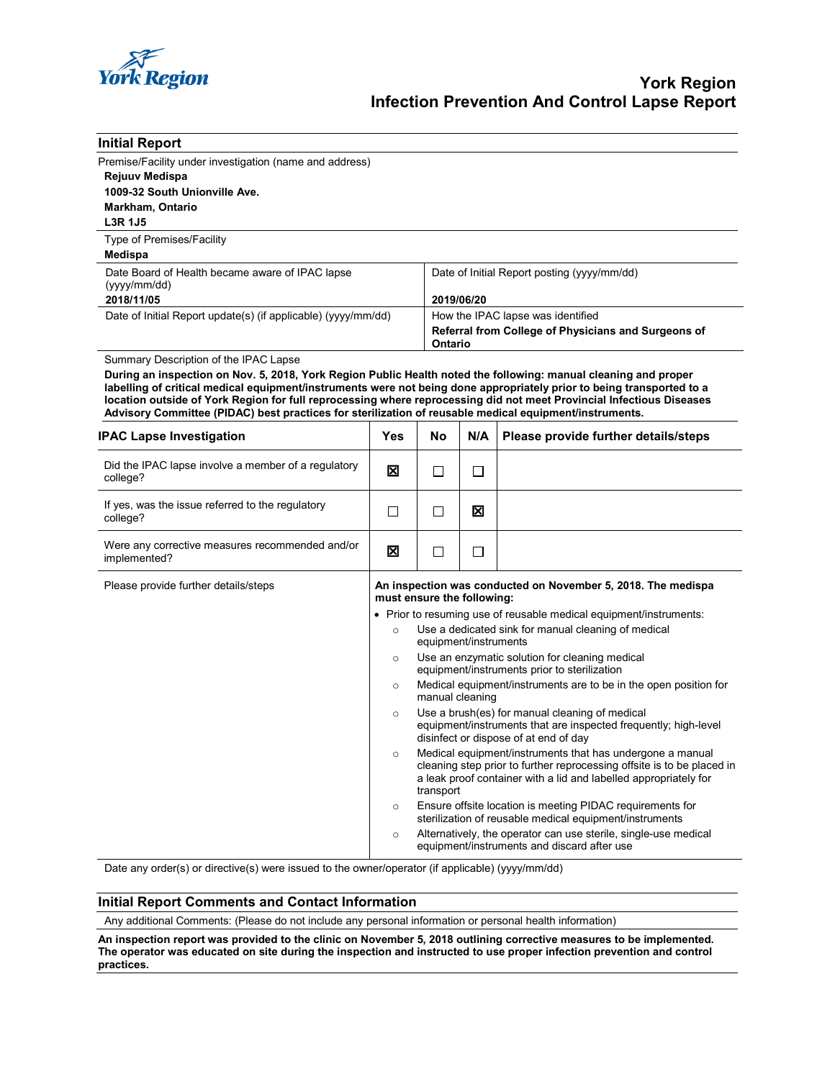

| <b>Initial Report</b>                                                                                                                                                                                                                                                                                                                                                                                                                                                                                               |                                                                                            |                                                                                                                                                                                           |                                                                                                                      |                                                                                                                                                                                                         |  |  |
|---------------------------------------------------------------------------------------------------------------------------------------------------------------------------------------------------------------------------------------------------------------------------------------------------------------------------------------------------------------------------------------------------------------------------------------------------------------------------------------------------------------------|--------------------------------------------------------------------------------------------|-------------------------------------------------------------------------------------------------------------------------------------------------------------------------------------------|----------------------------------------------------------------------------------------------------------------------|---------------------------------------------------------------------------------------------------------------------------------------------------------------------------------------------------------|--|--|
| Premise/Facility under investigation (name and address)                                                                                                                                                                                                                                                                                                                                                                                                                                                             |                                                                                            |                                                                                                                                                                                           |                                                                                                                      |                                                                                                                                                                                                         |  |  |
| <b>Rejuuv Medispa</b>                                                                                                                                                                                                                                                                                                                                                                                                                                                                                               |                                                                                            |                                                                                                                                                                                           |                                                                                                                      |                                                                                                                                                                                                         |  |  |
| 1009-32 South Unionville Ave.                                                                                                                                                                                                                                                                                                                                                                                                                                                                                       |                                                                                            |                                                                                                                                                                                           |                                                                                                                      |                                                                                                                                                                                                         |  |  |
| <b>Markham, Ontario</b>                                                                                                                                                                                                                                                                                                                                                                                                                                                                                             |                                                                                            |                                                                                                                                                                                           |                                                                                                                      |                                                                                                                                                                                                         |  |  |
| <b>L3R 1J5</b>                                                                                                                                                                                                                                                                                                                                                                                                                                                                                                      |                                                                                            |                                                                                                                                                                                           |                                                                                                                      |                                                                                                                                                                                                         |  |  |
| Type of Premises/Facility                                                                                                                                                                                                                                                                                                                                                                                                                                                                                           |                                                                                            |                                                                                                                                                                                           |                                                                                                                      |                                                                                                                                                                                                         |  |  |
| Medispa                                                                                                                                                                                                                                                                                                                                                                                                                                                                                                             |                                                                                            |                                                                                                                                                                                           |                                                                                                                      |                                                                                                                                                                                                         |  |  |
| Date Board of Health became aware of IPAC lapse                                                                                                                                                                                                                                                                                                                                                                                                                                                                     |                                                                                            |                                                                                                                                                                                           | Date of Initial Report posting (yyyy/mm/dd)                                                                          |                                                                                                                                                                                                         |  |  |
| (yyyy/mm/dd)<br>2018/11/05                                                                                                                                                                                                                                                                                                                                                                                                                                                                                          |                                                                                            |                                                                                                                                                                                           | 2019/06/20                                                                                                           |                                                                                                                                                                                                         |  |  |
| Date of Initial Report update(s) (if applicable) (yyyy/mm/dd)                                                                                                                                                                                                                                                                                                                                                                                                                                                       |                                                                                            |                                                                                                                                                                                           | How the IPAC lapse was identified                                                                                    |                                                                                                                                                                                                         |  |  |
|                                                                                                                                                                                                                                                                                                                                                                                                                                                                                                                     |                                                                                            |                                                                                                                                                                                           | Referral from College of Physicians and Surgeons of                                                                  |                                                                                                                                                                                                         |  |  |
|                                                                                                                                                                                                                                                                                                                                                                                                                                                                                                                     |                                                                                            |                                                                                                                                                                                           | Ontario                                                                                                              |                                                                                                                                                                                                         |  |  |
| Summary Description of the IPAC Lapse<br>During an inspection on Nov. 5, 2018, York Region Public Health noted the following: manual cleaning and proper<br>labelling of critical medical equipment/instruments were not being done appropriately prior to being transported to a<br>location outside of York Region for full reprocessing where reprocessing did not meet Provincial Infectious Diseases<br>Advisory Committee (PIDAC) best practices for sterilization of reusable medical equipment/instruments. |                                                                                            |                                                                                                                                                                                           |                                                                                                                      |                                                                                                                                                                                                         |  |  |
| <b>IPAC Lapse Investigation</b>                                                                                                                                                                                                                                                                                                                                                                                                                                                                                     | Yes                                                                                        | No                                                                                                                                                                                        | N/A                                                                                                                  | Please provide further details/steps                                                                                                                                                                    |  |  |
| Did the IPAC lapse involve a member of a regulatory<br>college?                                                                                                                                                                                                                                                                                                                                                                                                                                                     | 区                                                                                          | $\Box$                                                                                                                                                                                    | П                                                                                                                    |                                                                                                                                                                                                         |  |  |
| If yes, was the issue referred to the regulatory<br>college?                                                                                                                                                                                                                                                                                                                                                                                                                                                        | □                                                                                          | П                                                                                                                                                                                         | ⊠                                                                                                                    |                                                                                                                                                                                                         |  |  |
| Were any corrective measures recommended and/or<br>implemented?                                                                                                                                                                                                                                                                                                                                                                                                                                                     | 区                                                                                          | $\Box$                                                                                                                                                                                    | $\Box$                                                                                                               |                                                                                                                                                                                                         |  |  |
| Please provide further details/steps                                                                                                                                                                                                                                                                                                                                                                                                                                                                                | An inspection was conducted on November 5, 2018. The medispa<br>must ensure the following: |                                                                                                                                                                                           |                                                                                                                      |                                                                                                                                                                                                         |  |  |
|                                                                                                                                                                                                                                                                                                                                                                                                                                                                                                                     | • Prior to resuming use of reusable medical equipment/instruments:                         |                                                                                                                                                                                           |                                                                                                                      |                                                                                                                                                                                                         |  |  |
|                                                                                                                                                                                                                                                                                                                                                                                                                                                                                                                     | $\circ$                                                                                    | Use a dedicated sink for manual cleaning of medical<br>equipment/instruments<br>Use an enzymatic solution for cleaning medical<br>$\circ$<br>equipment/instruments prior to sterilization |                                                                                                                      |                                                                                                                                                                                                         |  |  |
|                                                                                                                                                                                                                                                                                                                                                                                                                                                                                                                     |                                                                                            |                                                                                                                                                                                           |                                                                                                                      |                                                                                                                                                                                                         |  |  |
| $\circ$<br>manual cleaning<br>Use a brush(es) for manual cleaning of medical<br>$\circ$<br>equipment/instruments that are inspected frequently; high-level<br>disinfect or dispose of at end of day                                                                                                                                                                                                                                                                                                                 |                                                                                            | Medical equipment/instruments are to be in the open position for                                                                                                                          |                                                                                                                      |                                                                                                                                                                                                         |  |  |
|                                                                                                                                                                                                                                                                                                                                                                                                                                                                                                                     |                                                                                            |                                                                                                                                                                                           |                                                                                                                      |                                                                                                                                                                                                         |  |  |
|                                                                                                                                                                                                                                                                                                                                                                                                                                                                                                                     | $\circ$                                                                                    | transport                                                                                                                                                                                 |                                                                                                                      | Medical equipment/instruments that has undergone a manual<br>cleaning step prior to further reprocessing offsite is to be placed in<br>a leak proof container with a lid and labelled appropriately for |  |  |
| $\circ$                                                                                                                                                                                                                                                                                                                                                                                                                                                                                                             |                                                                                            |                                                                                                                                                                                           | Ensure offsite location is meeting PIDAC requirements for<br>sterilization of reusable medical equipment/instruments |                                                                                                                                                                                                         |  |  |
|                                                                                                                                                                                                                                                                                                                                                                                                                                                                                                                     | $\circ$                                                                                    |                                                                                                                                                                                           |                                                                                                                      | Alternatively, the operator can use sterile, single-use medical<br>equipment/instruments and discard after use                                                                                          |  |  |

Date any order(s) or directive(s) were issued to the owner/operator (if applicable) (yyyy/mm/dd)

## **Initial Report Comments and Contact Information**

Any additional Comments: (Please do not include any personal information or personal health information)

**An inspection report was provided to the clinic on November 5, 2018 outlining corrective measures to be implemented. The operator was educated on site during the inspection and instructed to use proper infection prevention and control practices.**